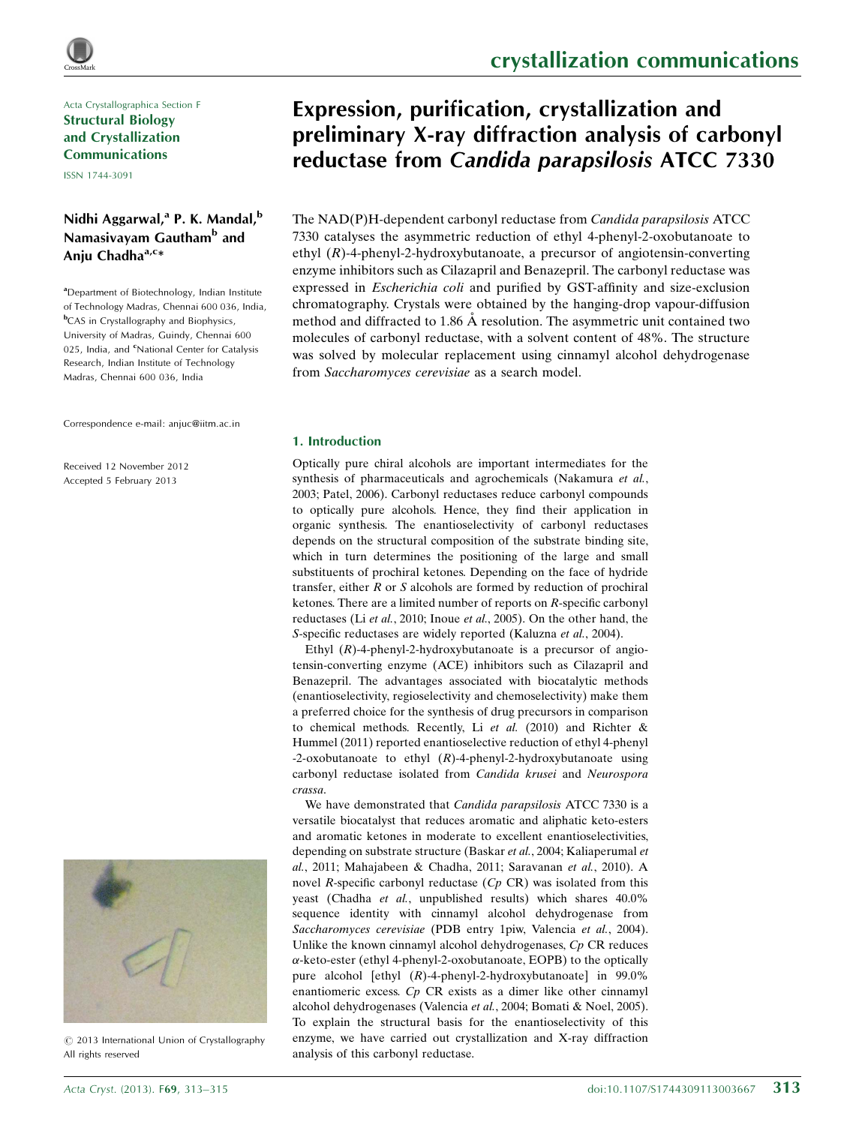## Acta Crystallographica Section F Structural Biology and Crystallization Communications

ISSN 1744-3091

## Nidhi Aggarwal,<sup>a</sup> P. K. Mandal,<sup>b</sup> Namasivayam Gautham<sup>b</sup> and Aniu Chadha $a,c*$

<sup>a</sup>Department of Biotechnology, Indian Institute of Technology Madras, Chennai 600 036, India, **b**CAS in Crystallography and Biophysics, University of Madras, Guindy, Chennai 600 025, India, and <sup>c</sup>National Center for Catalysis Research, Indian Institute of Technology Madras, Chennai 600 036, India

Correspondence e-mail: [anjuc@iitm.ac.in](http://scripts.iucr.org/cgi-bin/cr.cgi?rm=pdfbb&cnor=hc5156&bbid=BB18)

Received 12 November 2012 Accepted 5 February 2013



 $\circ$  2013 International Union of Crystallography All rights reserved

# Expression, purification, crystallization and preliminary X-ray diffraction analysis of carbonyl reductase from Candida parapsilosis ATCC 7330

The NAD(P)H-dependent carbonyl reductase from Candida parapsilosis ATCC 7330 catalyses the asymmetric reduction of ethyl 4-phenyl-2-oxobutanoate to ethyl  $(R)$ -4-phenyl-2-hydroxybutanoate, a precursor of angiotensin-converting enzyme inhibitors such as Cilazapril and Benazepril. The carbonyl reductase was expressed in Escherichia coli and purified by GST-affinity and size-exclusion chromatography. Crystals were obtained by the hanging-drop vapour-diffusion method and diffracted to 1.86 Å resolution. The asymmetric unit contained two molecules of carbonyl reductase, with a solvent content of 48%. The structure was solved by molecular replacement using cinnamyl alcohol dehydrogenase from Saccharomyces cerevisiae as a search model.

## 1. Introduction

Optically pure chiral alcohols are important intermediates for the synthesis of pharmaceuticals and agrochemicals (Nakamura et al., 2003; Patel, 2006). Carbonyl reductases reduce carbonyl compounds to optically pure alcohols. Hence, they find their application in organic synthesis. The enantioselectivity of carbonyl reductases depends on the structural composition of the substrate binding site, which in turn determines the positioning of the large and small substituents of prochiral ketones. Depending on the face of hydride transfer, either  $R$  or  $S$  alcohols are formed by reduction of prochiral ketones. There are a limited number of reports on R-specific carbonyl reductases (Li et al., 2010; Inoue et al., 2005). On the other hand, the S-specific reductases are widely reported (Kaluzna et al., 2004).

Ethyl  $(R)$ -4-phenyl-2-hydroxybutanoate is a precursor of angiotensin-converting enzyme (ACE) inhibitors such as Cilazapril and Benazepril. The advantages associated with biocatalytic methods (enantioselectivity, regioselectivity and chemoselectivity) make them a preferred choice for the synthesis of drug precursors in comparison to chemical methods. Recently, Li et al. (2010) and Richter & Hummel (2011) reported enantioselective reduction of ethyl 4-phenyl -2-oxobutanoate to ethyl  $(R)$ -4-phenyl-2-hydroxybutanoate using carbonyl reductase isolated from Candida krusei and Neurospora crassa.

We have demonstrated that *Candida parapsilosis* ATCC 7330 is a versatile biocatalyst that reduces aromatic and aliphatic keto-esters and aromatic ketones in moderate to excellent enantioselectivities, depending on substrate structure (Baskar et al., 2004; Kaliaperumal et al., 2011; Mahajabeen & Chadha, 2011; Saravanan et al., 2010). A novel  $R$ -specific carbonyl reductase  $(Cp \, \text{CR})$  was isolated from this yeast (Chadha et al., unpublished results) which shares 40.0% sequence identity with cinnamyl alcohol dehydrogenase from Saccharomyces cerevisiae (PDB entry 1piw, Valencia et al., 2004). Unlike the known cinnamyl alcohol dehydrogenases, Cp CR reduces --keto-ester (ethyl 4-phenyl-2-oxobutanoate, EOPB) to the optically pure alcohol [ethyl (R)-4-phenyl-2-hydroxybutanoate] in 99.0% enantiomeric excess. Cp CR exists as a dimer like other cinnamyl alcohol dehydrogenases (Valencia et al., 2004; Bomati & Noel, 2005). To explain the structural basis for the enantioselectivity of this enzyme, we have carried out crystallization and X-ray diffraction analysis of this carbonyl reductase.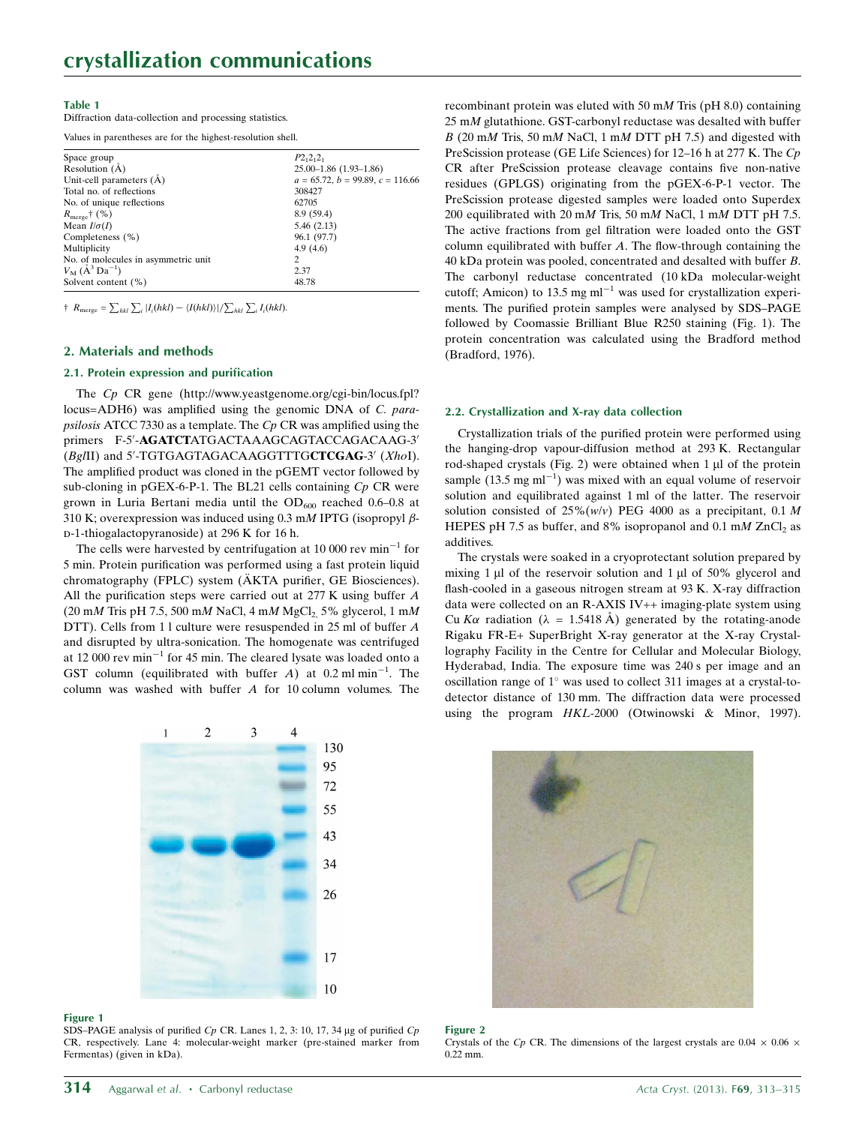### Table 1

Diffraction data-collection and processing statistics.

Values in parentheses are for the highest-resolution shell.

| Space group                                  | $P2_12_12_1$                       |
|----------------------------------------------|------------------------------------|
| Resolution $(A)$                             | $25.00 - 1.86$ $(1.93 - 1.86)$     |
| Unit-cell parameters (A)                     | $a = 65.72, b = 99.89, c = 116.66$ |
| Total no. of reflections                     | 308427                             |
| No. of unique reflections                    | 62705                              |
| $R_{\text{merge}}\uparrow$ (%)               | 8.9(59.4)                          |
| Mean $I/\sigma(I)$                           | 5.46(2.13)                         |
| Completeness (%)                             | 96.1 (97.7)                        |
| Multiplicity                                 | 4.9(4.6)                           |
| No. of molecules in asymmetric unit          | 2                                  |
| $V_{\rm M}$ ( $\rm \AA^3$ Da <sup>-1</sup> ) | 2.37                               |
| Solvent content (%)                          | 48.78                              |

 $\dagger$   $R_{\text{merge}} = \sum_{hkl} \sum_i |I_i(hkl) - \langle I(hkl) \rangle| / \sum_{hkl} \sum_i I_i(hkl).$ 

### 2. Materials and methods

## 2.1. Protein expression and purification

The Cp CR gene (http://www.yeastgenome.org/cgi-bin/locus.fpl? locus=ADH6) was amplified using the genomic DNA of C. parapsilosis ATCC 7330 as a template. The  $C_p$  CR was amplified using the primers F-5'-AGATCTATGACTAAAGCAGTACCAGACAAG-3' (Bg/II) and 5'-TGTGAGTAGACAAGGTTTGCTCGAG-3' (XhoI). The amplified product was cloned in the pGEMT vector followed by sub-cloning in pGEX-6-P-1. The BL21 cells containing  $C_p$  CR were grown in Luria Bertani media until the  $OD_{600}$  reached 0.6-0.8 at 310 K; overexpression was induced using 0.3 mM IPTG (isopropyl  $\beta$ d-1-thiogalactopyranoside) at 296 K for 16 h.

The cells were harvested by centrifugation at 10 000 rev  $min^{-1}$  for 5 min. Protein purification was performed using a fast protein liquid chromatography (FPLC) system (ÄKTA purifier, GE Biosciences). All the purification steps were carried out at 277 K using buffer A  $(20 \text{ mM Tris pH } 7.5, 500 \text{ mM NaCl}, 4 \text{ mM MgCl}, 5\%$  glycerol, 1 mM DTT). Cells from 11 culture were resuspended in 25 ml of buffer A and disrupted by ultra-sonication. The homogenate was centrifuged at 12 000 rev min<sup>-1</sup> for 45 min. The cleared lysate was loaded onto a GST column (equilibrated with buffer A) at 0.2 ml min<sup>-1</sup>. The column was washed with buffer A for 10 column volumes. The



#### Figure 1

SDS-PAGE analysis of purified Cp CR. Lanes 1, 2, 3: 10, 17, 34 µg of purified Cp CR, respectively. Lane 4: molecular-weight marker (pre-stained marker from Fermentas) (given in kDa).

recombinant protein was eluted with 50 mM Tris (pH 8.0) containing 25 mM glutathione. GST-carbonyl reductase was desalted with buffer  $B$  (20 mM Tris, 50 mM NaCl, 1 mM DTT pH 7.5) and digested with PreScission protease (GE Life Sciences) for 12–16 h at 277 K. The Cp CR after PreScission protease cleavage contains five non-native residues (GPLGS) originating from the pGEX-6-P-1 vector. The PreScission protease digested samples were loaded onto Superdex 200 equilibrated with 20 mM Tris, 50 mM NaCl, 1 mM DTT pH 7.5. The active fractions from gel filtration were loaded onto the GST column equilibrated with buffer A. The flow-through containing the 40 kDa protein was pooled, concentrated and desalted with buffer B. The carbonyl reductase concentrated (10 kDa molecular-weight cutoff; Amicon) to 13.5 mg  $ml^{-1}$  was used for crystallization experiments. The purified protein samples were analysed by SDS–PAGE followed by Coomassie Brilliant Blue R250 staining (Fig. 1). The protein concentration was calculated using the Bradford method (Bradford, 1976).

#### 2.2. Crystallization and X-ray data collection

Crystallization trials of the purified protein were performed using the hanging-drop vapour-diffusion method at 293 K. Rectangular rod-shaped crystals (Fig. 2) were obtained when  $1 \mu$ l of the protein sample  $(13.5 \text{ mg ml}^{-1})$  was mixed with an equal volume of reservoir solution and equilibrated against 1 ml of the latter. The reservoir solution consisted of  $25\% (w/v)$  PEG 4000 as a precipitant, 0.1 M HEPES pH 7.5 as buffer, and 8% isopropanol and 0.1 mM  $ZnCl<sub>2</sub>$  as additives.

The crystals were soaked in a cryoprotectant solution prepared by mixing  $1 \mu$ l of the reservoir solution and  $1 \mu$ l of 50% glycerol and flash-cooled in a gaseous nitrogen stream at 93 K. X-ray diffraction data were collected on an R-AXIS IV++ imaging-plate system using Cu K $\alpha$  radiation ( $\lambda = 1.5418 \text{ Å}$ ) generated by the rotating-anode Rigaku FR-E+ SuperBright X-ray generator at the X-ray Crystallography Facility in the Centre for Cellular and Molecular Biology, Hyderabad, India. The exposure time was 240 s per image and an oscillation range of  $1^\circ$  was used to collect 311 images at a crystal-todetector distance of 130 mm. The diffraction data were processed using the program HKL-2000 (Otwinowski & Minor, 1997).